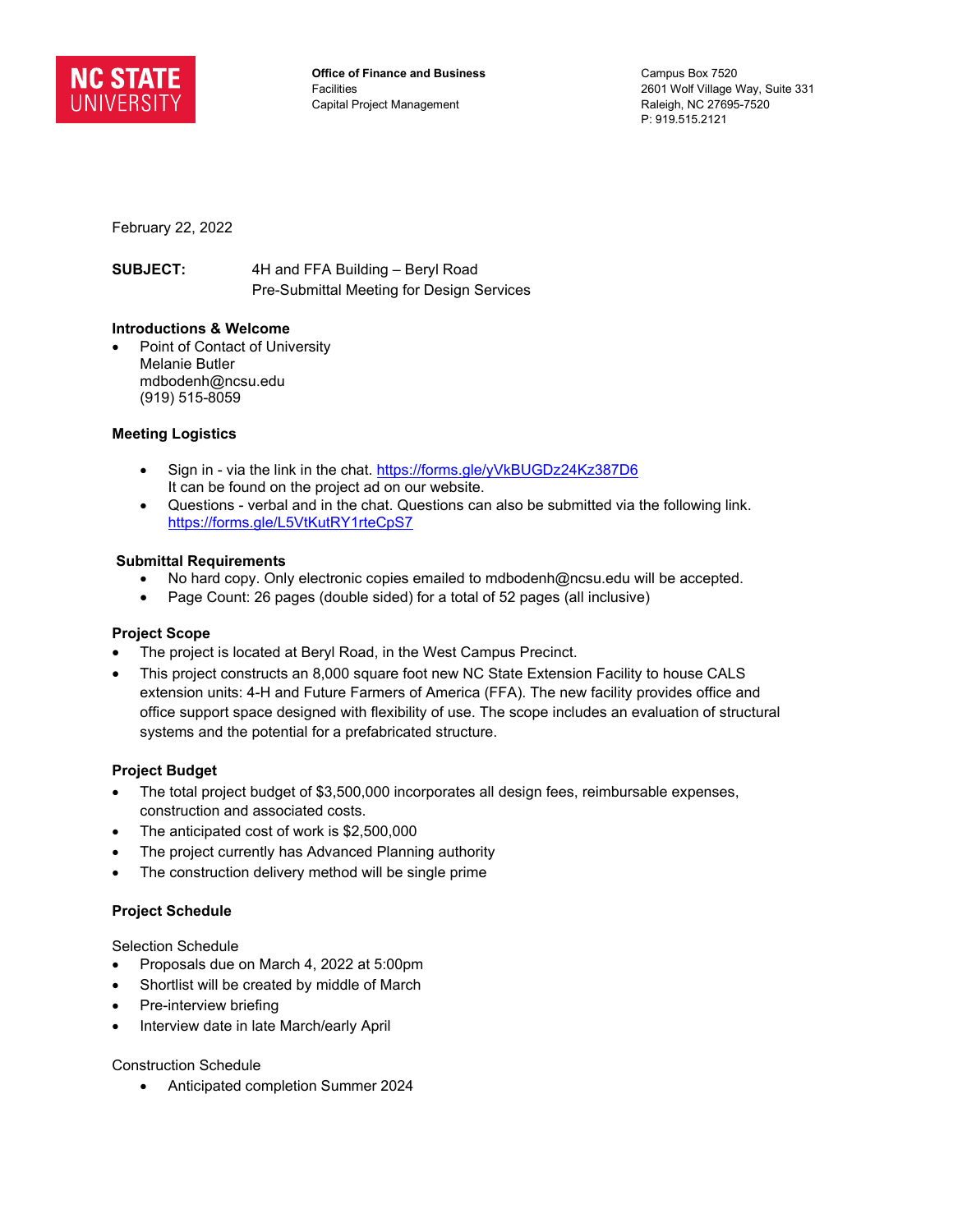

**Office of Finance and Business Facilities** Capital Project Management

Campus Box 7520 2601 Wolf Village Way, Suite 331 Raleigh, NC 27695-7520 P: 919.515.2121

February 22, 2022

**SUBJECT:** 4H and FFA Building – Beryl Road Pre-Submittal Meeting for Design Services

# **Introductions & Welcome**

Point of Contact of University Melanie Butler mdbodenh@ncsu.edu (919) 515-8059

# **Meeting Logistics**

- Sign in via the link in the chat.<https://forms.gle/yVkBUGDz24Kz387D6> It can be found on the project ad on our website.
- Questions verbal and in the chat. Questions can also be submitted via the following link. <https://forms.gle/L5VtKutRY1rteCpS7>

### **Submittal Requirements**

- No hard copy. Only electronic copies emailed to mdbodenh@ncsu.edu will be accepted.
- Page Count: 26 pages (double sided) for a total of 52 pages (all inclusive)

# **Project Scope**

- The project is located at Beryl Road, in the West Campus Precinct.
- This project constructs an 8,000 square foot new NC State Extension Facility to house CALS extension units: 4-H and Future Farmers of America (FFA). The new facility provides office and office support space designed with flexibility of use. The scope includes an evaluation of structural systems and the potential for a prefabricated structure.

#### **Project Budget**

- The total project budget of \$3,500,000 incorporates all design fees, reimbursable expenses, construction and associated costs.
- The anticipated cost of work is \$2,500,000
- The project currently has Advanced Planning authority
- The construction delivery method will be single prime

# **Project Schedule**

Selection Schedule

- Proposals due on March 4, 2022 at 5:00pm
- Shortlist will be created by middle of March
- Pre-interview briefing
- Interview date in late March/early April

#### Construction Schedule

• Anticipated completion Summer 2024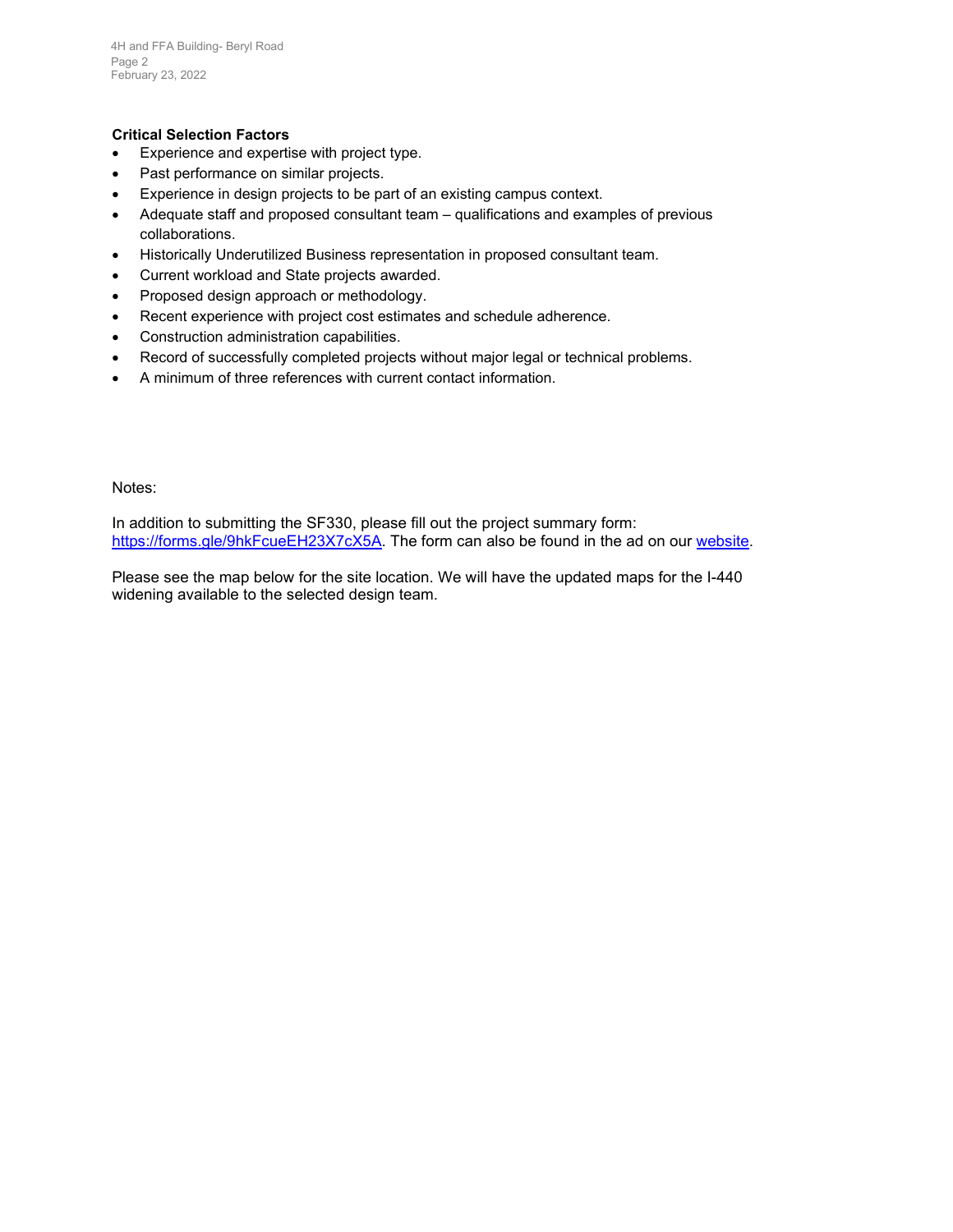### **Critical Selection Factors**

- Experience and expertise with project type.
- Past performance on similar projects.
- Experience in design projects to be part of an existing campus context.
- Adequate staff and proposed consultant team qualifications and examples of previous collaborations.
- Historically Underutilized Business representation in proposed consultant team.
- Current workload and State projects awarded.
- Proposed design approach or methodology.
- Recent experience with project cost estimates and schedule adherence.
- Construction administration capabilities.
- Record of successfully completed projects without major legal or technical problems.
- A minimum of three references with current contact information.

Notes:

In addition to submitting the SF330, please fill out the project summary form: [https://forms.gle/9hkFcueEH23X7cX5A.](https://forms.gle/9hkFcueEH23X7cX5A) The form can also be found in the ad on our [website.](https://facilities.ofa.ncsu.edu/2022/02/designer-advertisement-4h-and-ffa-building-beryl-road/)

Please see the map below for the site location. We will have the updated maps for the I-440 widening available to the selected design team.